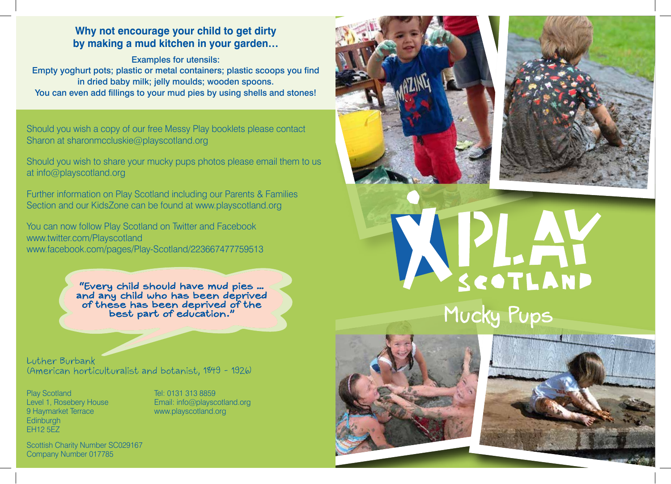# **Why not encourage your child to get dirty by making a mud kitchen in your garden…**

Examples for utensils: Empty yoghurt pots; plastic or metal containers; plastic scoops you find in dried baby milk; jelly moulds; wooden spoons. You can even add fillings to your mud pies by using shells and stones!

Should you wish a copy of our free Messy Play booklets please contact Sharon at sharonmccluskie@playscotland.org

Should you wish to share your mucky pups photos please email them to us at info@playscotland.org

Further information on Play Scotland including our Parents & Families Section and our KidsZone can be found at www.playscotland.org

You can now follow Play Scotland on Twitter and Facebook www.twitter.com/Playscotland www.facebook.com/pages/Play-Scotland/223667477759513

> "Every child should have mud pies ... and any child who has been deprived<br>of these has been deprived of the<br>best part of education."

Luther Burbank (American horticulturalist and botanist, 1849 - 1926)

Play Scotland Level 1, Rosebery House 9 Haymarket Terrace Edinburgh EH12 5EZ

Tel: 0131 313 8859 Email: info@playscotland.org www.playscotland.org





APLAY Mucky Pups





Scottish Charity Number SC029167 Company Number 017785